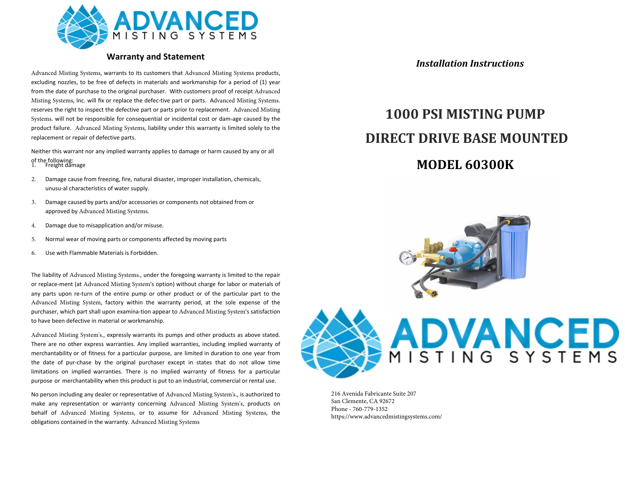

## **Warranty and Statement**

Advanced Misting Systems, warrants to its customers that Advanced Misting Systems products, excluding nozzles, to be free of defects in materials and workmanship for a period of (1) year from the date of purchase to the original purchaser. With customers proof of receipt Advanced Misting Systems, Inc. will fix or replace the defec-tive part or parts. Advanced Misting Systems. reserves the right to inspect the defective part or parts prior to replacement. Advanced Misting Systems. will not be responsible for consequential or incidental cost or dam-age caused by the product failure. Advanced Misting Systems, liability under this warranty is limited solely to the replacement or repair of defective parts.

Neither this warrant nor any implied warranty applies to damage or harm caused by any or all of the following: 1. Freight damage

- 
- 2. Damage cause from freezing, fire, natural disaster, improper installation, chemicals, unusu-al characteristics of water supply.
- 3. Damage caused by parts and/or accessories or components not obtained from or approved by Advanced Misting Systems.
- 4. Damage due to misapplication and/or misuse.
- 5. Normal wear of moving parts or components affected by moving parts
- 6. Use with Flammable Materials is Forbidden.

The liability of Advanced Misting Systems., under the foregoing warranty is limited to the repair or replace-ment (at Advanced Misting System's option) without charge for labor or materials of any parts upon re-turn of the entire pump or other product or of the particular part to the Advanced Misting System, factory within the warranty period, at the sole expense of the purchaser, which part shall upon examina-tion appear to Advanced Misting System's satisfaction to have been defective in material or workmanship.

Advanced Misting System's., expressly warrants its pumps and other products as above stated. There are no other express warranties. Any implied warranties, including implied warranty of merchantability or of fitness for a particular purpose, are limited in duration to one year from the date of pur-chase by the original purchaser except in states that do not allow time limitations on implied warranties. There is no implied warranty of fitness for a particular purpose or merchantability when this product is put to an industrial, commercial or rental use.

No person including any dealer or representative of Advanced Misting System's., is authorized to make any representation or warranty concerning Advanced Misting System's, products on behalf of Advanced Misting Systems, or to assume for Advanced Misting Systems, the obligations contained in the warranty. Advanced Misting Systems

*Installation Instructions*

# **MODEL 60300K 1000 PSI MISTING PUMP DIRECT DRIVE BASE MOUNTED**



216 Avenida Fabricante Suite 207 San Clemente, CA 92672 Phone - 760-779-1352 https://www.advancedmistingsystems.com/